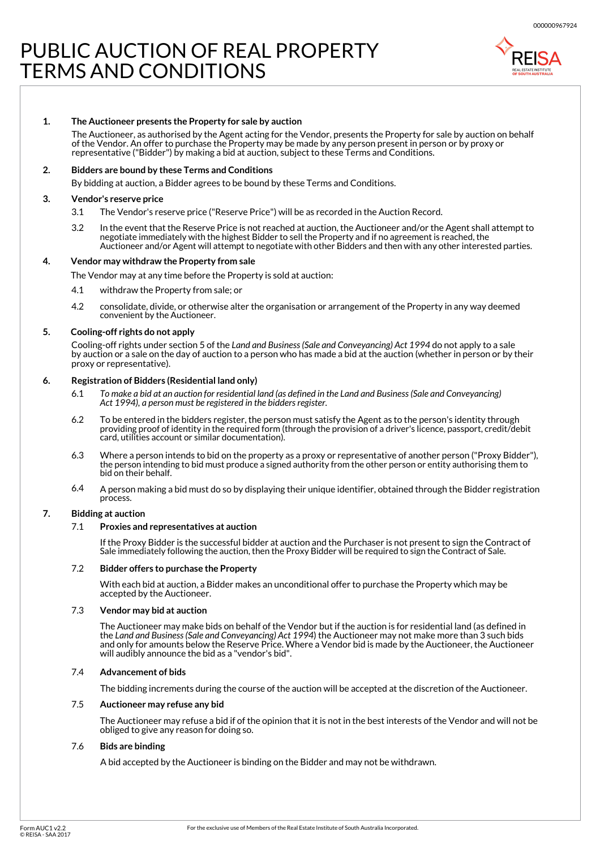# PUBLIC AUCTION OF REAL PROPERTY TERMS AND CONDITIONS



### **The Auctioneer presents the Property for sale by auction 1.**

The Auctioneer, as authorised by the Agent acting for the Vendor, presents the Property for sale by auction on behalf of the Vendor. An offer to purchase the Property may be made by any person present in person or by proxy or representative ("Bidder") by making a bid at auction, subject to these Terms and Conditions.

### **2. Bidders are bound by these Terms and Conditions**

By bidding at auction, a Bidder agrees to be bound by these Terms and Conditions.

### **3. Vendor's reserve price**

- 3.1 The Vendor's reserve price ("Reserve Price") will be as recorded in the Auction Record.
- 3.2 In the event that the Reserve Price is not reached at auction, the Auctioneer and/or the Agent shall attempt to negotiate immediately with the highest Bidder to sell the Property and if no agreement is reached, the Auctioneer and/or Agent will attempt to negotiate with other Bidders and then with any other interested parties.

## **4. Vendor may withdraw the Property from sale**

The Vendor may at any time before the Property is sold at auction:

- 4.1 withdraw the Property from sale; or
- $42$ consolidate, divide, or otherwise alter the organisation or arrangement of the Property in any way deemed convenient by the Auctioneer.

### **5. Cooling-off rights do not apply**

Cooling-off rights under section 5 of the *Land and Business (Sale and Conveyancing) Act 1994* do not apply to a sale by auction or a sale on the day of auction to a person who has made a bid at the auction (whether in person or by their proxy or representative).

#### **6. Registration of Bidders (Residential land only)**

- 6.1 To make a bid at an auction for residential land (as defined in the Land and Business (Sale and Conveyancing) *Act 1994), a person must be registered in the bidders register.*
- 6.2 To be entered in the bidders register, the person must satisfy the Agent as to the person's identity through providing proof of identity in the required form (through the provision of a driver's licence, passport, credit/debit card, utilities account or similar documentation).
- 6.3 Where a person intends to bid on the property as a proxy or representative of another person ("Proxy Bidder"), the person intending to bid must produce a signed authority from the other person or entity authorising them to bid on their behalf.
- 6.4 A person making a bid must do so by displaying their unique identifier, obtained through the Bidder registration process.

## **7. Bidding at auction**

# 7.1 **Proxies and representatives at auction**

If the Proxy Bidder is the successful bidder at auction and the Purchaser is not present to sign the Contract of Sale immediately following the auction, then the Proxy Bidder will be required to sign the Contract of Sale.

# 7.2 **Bidder offers to purchase the Property**

With each bid at auction, a Bidder makes an unconditional offer to purchase the Property which may be accepted by the Auctioneer.

# 7.3 **Vendor may bid at auction**

The Auctioneer may make bids on behalf of the Vendor but if the auction is for residential land (as defined in the *Land and Business (Sale and Conveyancing) Act 1994*) the Auctioneer may not make more than 3 such bids and only for amounts below the Reserve Price. Where a Vendor bid is made by the Auctioneer, the Auctioneer will audibly announce the bid as a "vendor's bid".

# 7.4 **Advancement of bids**

The bidding increments during the course of the auction will be accepted at the discretion of the Auctioneer.

# 7.5 **Auctioneer may refuse any bid**

The Auctioneer may refuse a bid if of the opinion that it is not in the best interests of the Vendor and will not be obliged to give any reason for doing so.

# 7.6 **Bids are binding**

A bid accepted by the Auctioneer is binding on the Bidder and may not be withdrawn.